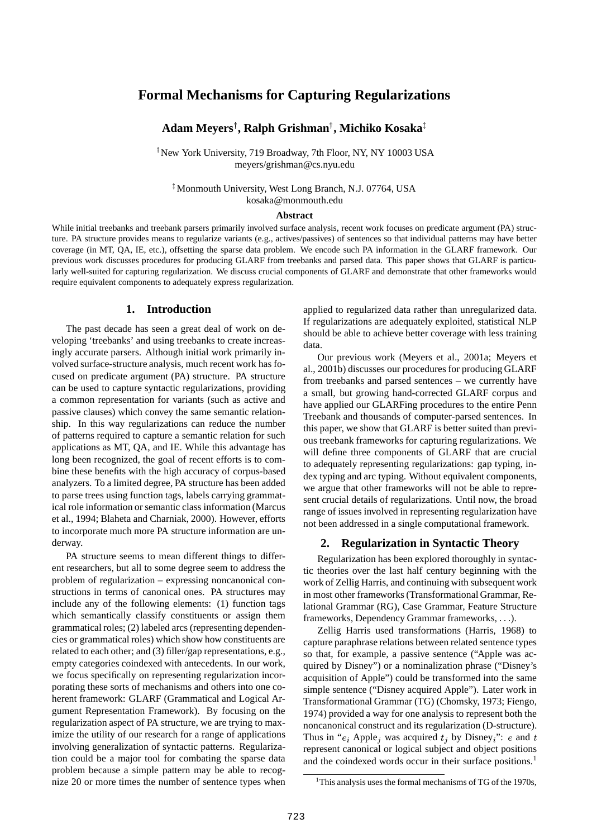# **Formal Mechanisms for Capturing Regularizations**

# **Adam Meyers , Ralph Grishman , Michiko Kosaka**

- New York University, 719 Broadway, 7th Floor, NY, NY 10003 USA meyers/grishman@cs.nyu.edu

 Monmouth University, West Long Branch, N.J. 07764, USA kosaka@monmouth.edu

#### **Abstract**

While initial treebanks and treebank parsers primarily involved surface analysis, recent work focuses on predicate argument (PA) structure. PA structure provides means to regularize variants (e.g., actives/passives) of sentences so that individual patterns may have better coverage (in MT, QA, IE, etc.), offsetting the sparse data problem. We encode such PA information in the GLARF framework. Our previous work discusses procedures for producing GLARF from treebanks and parsed data. This paper shows that GLARF is particularly well-suited for capturing regularization. We discuss crucial components of GLARF and demonstrate that other frameworks would require equivalent components to adequately express regularization.

### **1. Introduction**

The past decade has seen a great deal of work on developing 'treebanks' and using treebanks to create increasingly accurate parsers. Although initial work primarily involved surface-structure analysis, much recent work has focused on predicate argument (PA) structure. PA structure can be used to capture syntactic regularizations, providing a common representation for variants (such as active and passive clauses) which convey the same semantic relationship. In this way regularizations can reduce the number of patterns required to capture a semantic relation for such applications as MT, QA, and IE. While this advantage has long been recognized, the goal of recent efforts is to combine these benefits with the high accuracy of corpus-based analyzers. To a limited degree, PA structure has been added to parse trees using function tags, labels carrying grammatical role information or semantic class information (Marcus et al., 1994; Blaheta and Charniak, 2000). However, efforts to incorporate much more PA structure information are underway.

PA structure seems to mean different things to different researchers, but all to some degree seem to address the problem of regularization – expressing noncanonical constructions in terms of canonical ones. PA structures may include any of the following elements: (1) function tags which semantically classify constituents or assign them grammatical roles; (2) labeled arcs (representing dependencies or grammatical roles) which show how constituents are related to each other; and (3) filler/gap representations, e.g., empty categories coindexed with antecedents. In our work, we focus specifically on representing regularization incorporating these sorts of mechanisms and others into one coherent framework: GLARF (Grammatical and Logical Argument Representation Framework). By focusing on the regularization aspect of PA structure, we are trying to maximize the utility of our research for a range of applications involving generalization of syntactic patterns. Regularization could be a major tool for combating the sparse data problem because a simple pattern may be able to recognize 20 or more times the number of sentence types when applied to regularized data rather than unregularized data. If regularizations are adequately exploited, statistical NLP should be able to achieve better coverage with less training data.

Our previous work (Meyers et al., 2001a; Meyers et al., 2001b) discusses our procedures for producing GLARF from treebanks and parsed sentences – we currently have a small, but growing hand-corrected GLARF corpus and have applied our GLARFing procedures to the entire Penn Treebank and thousands of computer-parsed sentences. In this paper, we show that GLARF is better suited than previous treebank frameworks for capturing regularizations. We will define three components of GLARF that are crucial to adequately representing regularizations: gap typing, index typing and arc typing. Without equivalent components, we argue that other frameworks will not be able to represent crucial details of regularizations. Until now, the broad range of issues involved in representing regularization have not been addressed in a single computational framework.

#### **2. Regularization in Syntactic Theory**

Regularization has been explored thoroughly in syntactic theories over the last half century beginning with the work of Zellig Harris, and continuing with subsequent work in most other frameworks (Transformational Grammar, Relational Grammar (RG), Case Grammar, Feature Structure frameworks, Dependency Grammar frameworks, ... ).

Zellig Harris used transformations (Harris, 1968) to capture paraphrase relations between related sentence types so that, for example, a passive sentence ("Apple was acquired by Disney") or a nominalization phrase ("Disney's acquisition of Apple") could be transformed into the same simple sentence ("Disney acquired Apple"). Later work in Transformational Grammar (TG) (Chomsky, 1973; Fiengo, 1974) provided a way for one analysis to represent both the noncanonical construct and its regularization (D-structure). Thus in " $e_i$  Apple<sub>i</sub> was acquired  $t_i$  by Disney<sub>i</sub>": *e* and  $t$ represent canonical or logical subject and object positions and the coindexed words occur in their surface positions.<sup>1</sup>

<sup>&</sup>lt;sup>1</sup>This analysis uses the formal mechanisms of TG of the 1970s,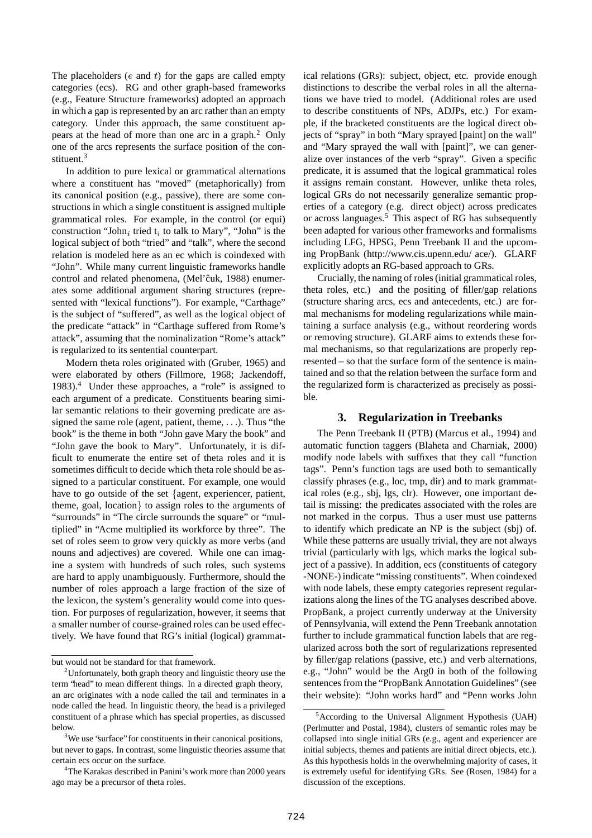The placeholders  $(e$  and  $t)$  for the gaps are called empty categories (ecs). RG and other graph-based frameworks (e.g., Feature Structure frameworks) adopted an approach in which a gap is represented by an arc rather than an empty category. Under this approach, the same constituent appears at the head of more than one arc in a graph.<sup>2</sup> Only one of the arcs represents the surface position of the constituent.<sup>3</sup>

In addition to pure lexical or grammatical alternations where a constituent has "moved" (metaphorically) from its canonical position (e.g., passive), there are some constructions in which a single constituent is assigned multiple grammatical roles. For example, in the control (or equi) construction "John, tried  $t_i$  to talk to Mary", "John" is the logical subject of both "tried" and "talk", where the second relation is modeled here as an ec which is coindexed with "John". While many current linguistic frameworks handle control and related phenomena, (Mel'cuk, 1988) enumerates some additional argument sharing structures (represented with "lexical functions"). For example, "Carthage" is the subject of "suffered", as well as the logical object of the predicate "attack" in "Carthage suffered from Rome's attack", assuming that the nominalization "Rome's attack" is regularized to its sentential counterpart.

Modern theta roles originated with (Gruber, 1965) and were elaborated by others (Fillmore, 1968; Jackendoff, 1983).<sup>4</sup> Under these approaches, a "role" is assigned to each argument of a predicate. Constituents bearing similar semantic relations to their governing predicate are assigned the same role (agent, patient, theme, ...). Thus "the book" is the theme in both "John gave Mary the book" and "John gave the book to Mary". Unfortunately, it is difficult to enumerate the entire set of theta roles and it is sometimes difficult to decide which theta role should be assigned to a particular constituent. For example, one would have to go outside of the set  $\{$ agent, experiencer, patient, theme, goal, location} to assign roles to the arguments of "surrounds" in "The circle surrounds the square" or "multiplied" in "Acme multiplied its workforce by three". The set of roles seem to grow very quickly as more verbs (and nouns and adjectives) are covered. While one can imagine a system with hundreds of such roles, such systems are hard to apply unambiguously. Furthermore, should the number of roles approach a large fraction of the size of the lexicon, the system's generality would come into question. For purposes of regularization, however, it seems that a smaller number of course-grained roles can be used effectively. We have found that RG's initial (logical) grammatical relations (GRs): subject, object, etc. provide enough distinctions to describe the verbal roles in all the alternations we have tried to model. (Additional roles are used to describe constituents of NPs, ADJPs, etc.) For example, if the bracketed constituents are the logical direct objects of "spray" in both "Mary sprayed [paint] on the wall" and "Mary sprayed the wall with [paint]", we can generalize over instances of the verb "spray". Given a specific predicate, it is assumed that the logical grammatical roles it assigns remain constant. However, unlike theta roles, logical GRs do not necessarily generalize semantic properties of a category (e.g. direct object) across predicates or across languages.<sup>5</sup> This aspect of RG has subsequently been adapted for various other frameworks and formalisms including LFG, HPSG, Penn Treebank II and the upcoming PropBank (http://www.cis.upenn.edu/ ace/). GLARF explicitly adopts an RG-based approach to GRs.

Crucially, the naming of roles(initial grammatical roles, theta roles, etc.) and the positing of filler/gap relations (structure sharing arcs, ecs and antecedents, etc.) are formal mechanisms for modeling regularizations while maintaining a surface analysis (e.g., without reordering words or removing structure). GLARF aims to extends these formal mechanisms, so that regularizations are properly represented – so that the surface form of the sentence is maintained and so that the relation between the surface form and the regularized form is characterized as precisely as possible.

### **3. Regularization in Treebanks**

The Penn Treebank II (PTB) (Marcus et al., 1994) and automatic function taggers (Blaheta and Charniak, 2000) modify node labels with suffixes that they call "function tags". Penn's function tags are used both to semantically classify phrases (e.g., loc, tmp, dir) and to mark grammatical roles (e.g., sbj, lgs, clr). However, one important detail is missing: the predicates associated with the roles are not marked in the corpus. Thus a user must use patterns to identify which predicate an NP is the subject (sbj) of. While these patterns are usually trivial, they are not always trivial (particularly with lgs, which marks the logical subject of a passive). In addition, ecs (constituents of category -NONE-) indicate "missing constituents". When coindexed with node labels, these empty categories represent regularizations along the lines of the TG analyses described above. PropBank, a project currently underway at the University of Pennsylvania, will extend the Penn Treebank annotation further to include grammatical function labels that are regularized across both the sort of regularizations represented by filler/gap relations (passive, etc.) and verb alternations, e.g., "John" would be the Arg0 in both of the following sentences from the "PropBank Annotation Guidelines" (see their website): "John works hard" and "Penn works John

but would not be standard for that framework.

<sup>&</sup>lt;sup>2</sup>Unfortunately, both graph theory and linguistic theory use the term "head" to mean different things. In a directed graph theory, an arc originates with a node called the tail and terminates in a node called the head. In linguistic theory, the head is a privileged constituent of a phrase which has special properties, as discussed below.

<sup>&</sup>lt;sup>3</sup>We use 'surface'' for constituents in their canonical positions, but never to gaps. In contrast, some linguistic theories assume that certain ecs occur on the surface.

<sup>&</sup>lt;sup>4</sup>The Karakas described in Panini's work more than 2000 years ago may be a precursor of theta roles.

<sup>5</sup>According to the Universal Alignment Hypothesis (UAH) (Perlmutter and Postal, 1984), clusters of semantic roles may be collapsed into single initial GRs (e.g., agent and experiencer are initial subjects, themes and patients are initial direct objects, etc.). As this hypothesis holds in the overwhelming majority of cases, it is extremely useful for identifying GRs. See (Rosen, 1984) for a discussion of the exceptions.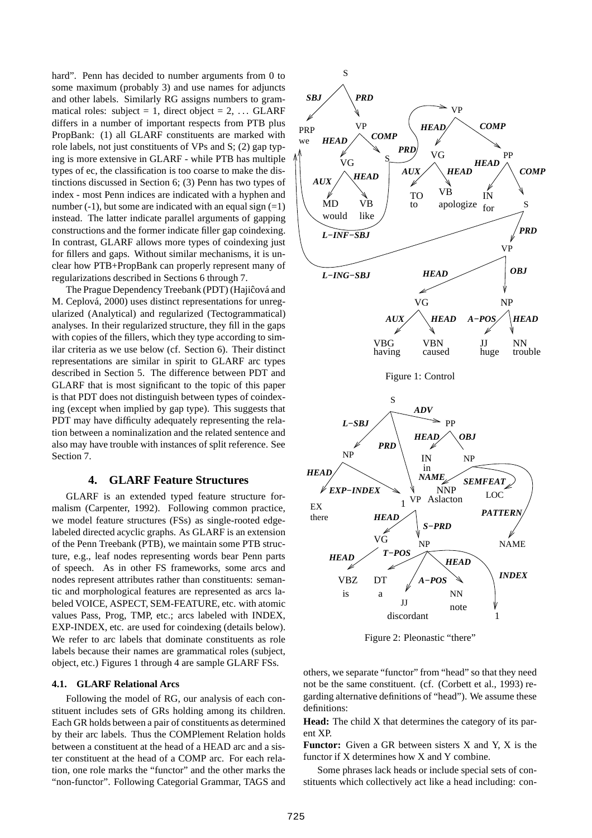hard". Penn has decided to number arguments from 0 to some maximum (probably 3) and use names for adjuncts and other labels. Similarly RG assigns numbers to grammatical roles: subject = 1, direct object = 2,  $\ldots$  GLARF differs in a number of important respects from PTB plus PropBank: (1) all GLARF constituents are marked with role labels, not just constituents of VPs and S; (2) gap typing is more extensive in GLARF - while PTB has multiple types of ec, the classification is too coarse to make the distinctions discussed in Section 6; (3) Penn has two types of index - most Penn indices are indicated with a hyphen and number  $(-1)$ , but some are indicated with an equal sign  $(=1)$ instead. The latter indicate parallel arguments of gapping constructions and the former indicate filler gap coindexing. In contrast, GLARF allows more types of coindexing just for fillers and gaps. Without similar mechanisms, it is unclear how PTB+PropBank can properly represent many of regularizations described in Sections 6 through 7.

The Prague Dependency Treebank (PDT) (Hajiĉová and M. Ceplová, 2000) uses distinct representations for unregularized (Analytical) and regularized (Tectogrammatical) analyses. In their regularized structure, they fill in the gaps with copies of the fillers, which they type according to similar criteria as we use below (cf. Section 6). Their distinct representations are similar in spirit to GLARF arc types described in Section 5. The difference between PDT and GLARF that is most significant to the topic of this paper is that PDT does not distinguish between types of coindexing (except when implied by gap type). This suggests that PDT may have difficulty adequately representing the relation between a nominalization and the related sentence and also may have trouble with instances of split reference. See Section 7.

# **4. GLARF Feature Structures**

GLARF is an extended typed feature structure formalism (Carpenter, 1992). Following common practice, we model feature structures (FSs) as single-rooted edgelabeled directed acyclic graphs. As GLARF is an extension of the Penn Treebank (PTB), we maintain some PTB structure, e.g., leaf nodes representing words bear Penn parts of speech. As in other FS frameworks, some arcs and nodes represent attributes rather than constituents: semantic and morphological features are represented as arcs labeled VOICE, ASPECT, SEM-FEATURE, etc. with atomic values Pass, Prog, TMP, etc.; arcs labeled with INDEX, EXP-INDEX, etc. are used for coindexing (details below). We refer to arc labels that dominate constituents as role labels because their names are grammatical roles (subject, object, etc.) Figures 1 through 4 are sample GLARF FSs.

### **4.1. GLARF Relational Arcs**

Following the model of RG, our analysis of each constituent includes sets of GRs holding among its children. Each GR holds between a pair of constituents as determined by their arc labels. Thus the COMPlement Relation holds between a constituent at the head of a HEAD arc and a sister constituent at the head of a COMP arc. For each relation, one role marks the "functor" and the other marks the "non-functor". Following Categorial Grammar, TAGS and



Figure 2: Pleonastic "there"

others, we separate "functor" from "head" so that they need not be the same constituent. (cf. (Corbett et al., 1993) regarding alternative definitions of "head"). We assume these definitions:

**Head:** The child X that determines the category of its parent XP.

**Functor:** Given a GR between sisters X and Y, X is the functor if X determines how X and Y combine.

Some phrases lack heads or include special sets of constituents which collectively act like a head including: con-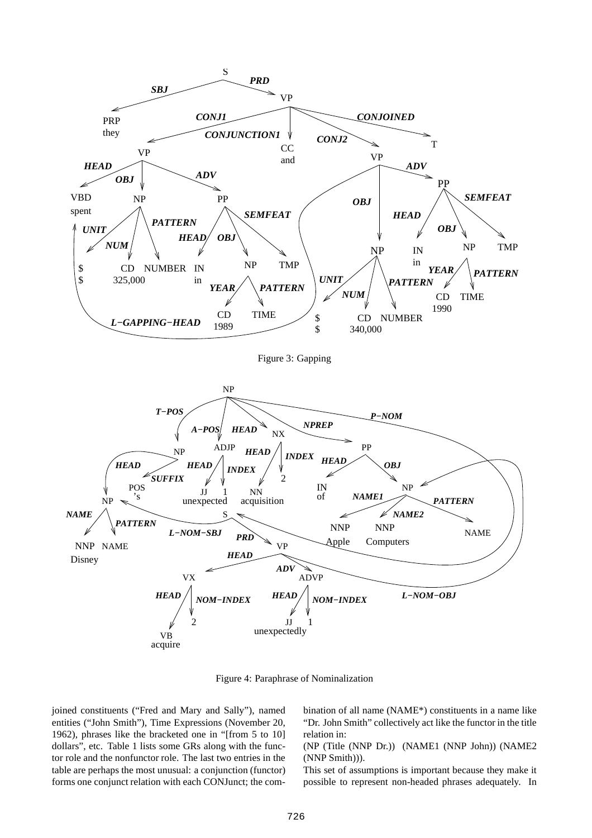

Figure 3: Gapping



Figure 4: Paraphrase of Nominalization

joined constituents ("Fred and Mary and Sally"), named entities ("John Smith"), Time Expressions (November 20, 1962), phrases like the bracketed one in "[from 5 to 10] dollars", etc. Table 1 lists some GRs along with the functor role and the nonfunctor role. The last two entries in the table are perhaps the most unusual: a conjunction (functor) forms one conjunct relation with each CONJunct; the combination of all name (NAME\*) constituents in a name like "Dr. John Smith" collectively act like the functor in the title relation in:

(NP (Title (NNP Dr.)) (NAME1 (NNP John)) (NAME2 (NNP Smith))).

This set of assumptions is important because they make it possible to represent non-headed phrases adequately. In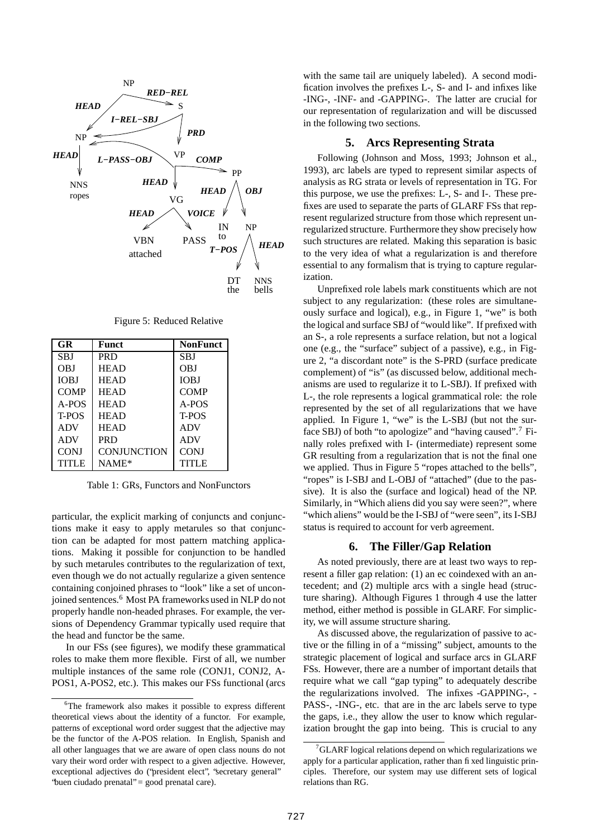

Figure 5: Reduced Relative

| GR.          | Funct              | <b>NonFunct</b> |
|--------------|--------------------|-----------------|
| <b>SBJ</b>   | <b>PRD</b>         | <b>SBJ</b>      |
| OBJ          | <b>HEAD</b>        | <b>OBJ</b>      |
| <b>IOBJ</b>  | <b>HEAD</b>        | <b>IOBJ</b>     |
| <b>COMP</b>  | <b>HEAD</b>        | <b>COMP</b>     |
| $A-POS$      | <b>HEAD</b>        | A-POS           |
| T-POS        | <b>HEAD</b>        | T-POS           |
| <b>ADV</b>   | <b>HEAD</b>        | <b>ADV</b>      |
| <b>ADV</b>   | <b>PRD</b>         | <b>ADV</b>      |
| <b>CONJ</b>  | <b>CONJUNCTION</b> | <b>CONJ</b>     |
| <b>TITLE</b> | $NAME*$            | <b>TITLE</b>    |

Table 1: GRs, Functors and NonFunctors

particular, the explicit marking of conjuncts and conjunctions make it easy to apply metarules so that conjunction can be adapted for most pattern matching applications. Making it possible for conjunction to be handled by such metarules contributes to the regularization of text, even though we do not actually regularize a given sentence containing conjoined phrases to "look" like a set of unconjoined sentences.<sup>6</sup> Most PA frameworks used in NLP do not properly handle non-headed phrases. For example, the versions of Dependency Grammar typically used require that the head and functor be the same.

In our FSs (see figures), we modify these grammatical roles to make them more flexible. First of all, we number multiple instances of the same role (CONJ1, CONJ2, A-POS1, A-POS2, etc.). This makes our FSs functional (arcs with the same tail are uniquely labeled). A second modification involves the prefixes L-, S- and I- and infixes like -ING-, -INF- and -GAPPING-. The latter are crucial for our representation of regularization and will be discussed in the following two sections.

# **5. Arcs Representing Strata**

Following (Johnson and Moss, 1993; Johnson et al., 1993), arc labels are typed to represent similar aspects of analysis as RG strata or levels of representation in TG. For this purpose, we use the prefixes: L-, S- and I-. These prefixes are used to separate the parts of GLARF FSs that represent regularized structure from those which represent unregularized structure. Furthermore they show precisely how such structures are related. Making this separation is basic to the very idea of what a regularization is and therefore essential to any formalism that is trying to capture regularization.

Unprefixed role labels mark constituents which are not subject to any regularization: (these roles are simultaneously surface and logical), e.g., in Figure 1, "we" is both the logical and surface SBJ of "would like". If prefixed with an S-, a role represents a surface relation, but not a logical one (e.g., the "surface" subject of a passive), e.g., in Figure 2, "a discordant note" is the S-PRD (surface predicate complement) of "is" (as discussed below, additional mechanisms are used to regularize it to L-SBJ). If prefixed with L-, the role represents a logical grammatical role: the role represented by the set of all regularizations that we have applied. In Figure 1, "we" is the L-SBJ (but not the surface SBJ) of both "to apologize" and "having caused".<sup>7</sup> Finally roles prefixed with I- (intermediate) represent some GR resulting from a regularization that is not the final one we applied. Thus in Figure 5 "ropes attached to the bells", "ropes" is I-SBJ and L-OBJ of "attached" (due to the passive). It is also the (surface and logical) head of the NP. Similarly, in "Which aliens did you say were seen?", where "which aliens" would be the I-SBJ of "were seen", its I-SBJ status is required to account for verb agreement.

# **6. The Filler/Gap Relation**

As noted previously, there are at least two ways to represent a filler gap relation: (1) an ec coindexed with an antecedent; and (2) multiple arcs with a single head (structure sharing). Although Figures 1 through 4 use the latter method, either method is possible in GLARF. For simplicity, we will assume structure sharing.

As discussed above, the regularization of passive to active or the filling in of a "missing" subject, amounts to the strategic placement of logical and surface arcs in GLARF FSs. However, there are a number of important details that require what we call "gap typing" to adequately describe the regularizations involved. The infixes -GAPPING-, - PASS-, -ING-, etc. that are in the arc labels serve to type the gaps, i.e., they allow the user to know which regularization brought the gap into being. This is crucial to any

<sup>&</sup>lt;sup>6</sup>The framework also makes it possible to express different theoretical views about the identity of a functor. For example, patterns of exceptional word order suggest that the adjective may be the functor of the A-POS relation. In English, Spanish and all other languages that we are aware of open class nouns do not vary their word order with respect to a given adjective. However, exceptional adjectives do ("president elect", "secretary general" 'buen ciudado prenatal" = good prenatal care).

<sup>7</sup>GLARF logical relations depend on which regularizations we apply for a particular application, rather than fixed linguistic principles. Therefore, our system may use different sets of logical relations than RG.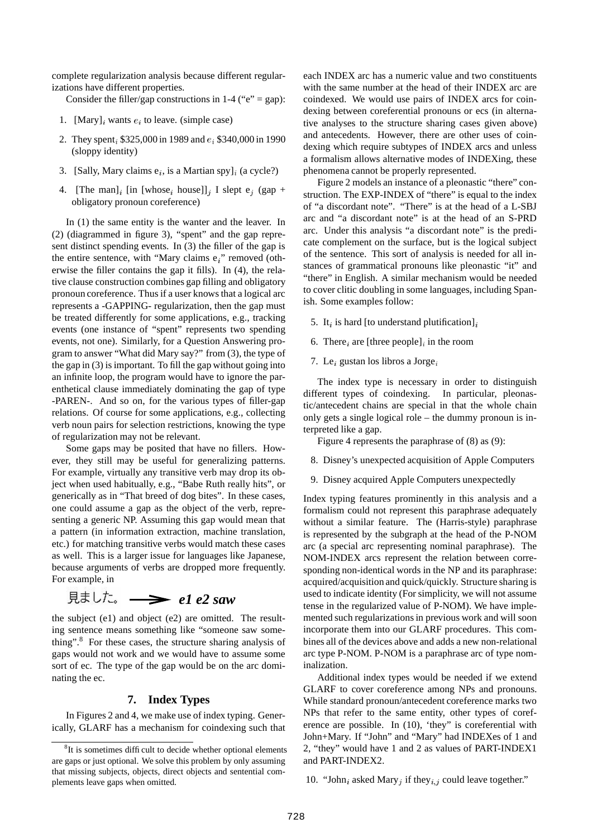complete regularization analysis because different regularizations have different properties.

Consider the filler/gap constructions in 1-4 (" $e$ " = gap):

- 1. [Mary], wants  $e_i$  to leave. (simple case)
- 2. They spent,  $$325,000$  in 1989 and  $e_i$  \$340,000 in 1990 (sloppy identity)
- 3. [Sally, Mary claims  $e_i$ , is a Martian spy]<sub>i</sub> (a cycle?)
- 4. [The man]<sub>i</sub> [in [whose<sub>i</sub> house]]<sub>j</sub> I slept e<sub>j</sub> (gap + obligatory pronoun coreference)

In (1) the same entity is the wanter and the leaver. In (2) (diagrammed in figure 3), "spent" and the gap represent distinct spending events. In (3) the filler of the gap is the entire sentence, with "Mary claims  $e_i$ " removed (otherwise the filler contains the gap it fills). In (4), the relative clause construction combines gap filling and obligatory pronoun coreference. Thus if a user knows that a logical arc represents a -GAPPING- regularization, then the gap must be treated differently for some applications, e.g., tracking events (one instance of "spent" represents two spending events, not one). Similarly, for a Question Answering program to answer "What did Mary say?" from (3), the type of the gap in (3) is important. To fill the gap without going into an infinite loop, the program would have to ignore the parenthetical clause immediately dominating the gap of type -PAREN-. And so on, for the various types of filler-gap relations. Of course for some applications, e.g., collecting verb noun pairs for selection restrictions, knowing the type of regularization may not be relevant.

Some gaps may be posited that have no fillers. However, they still may be useful for generalizing patterns. For example, virtually any transitive verb may drop its object when used habitually, e.g., "Babe Ruth really hits", or generically as in "That breed of dog bites". In these cases, one could assume a gap as the object of the verb, representing a generic NP. Assuming this gap would mean that a pattern (in information extraction, machine translation, etc.) for matching transitive verbs would match these cases as well. This is a larger issue for languages like Japanese, because arguments of verbs are dropped more frequently. For example, in

$$
\text{R}\ddot{\text{t}} \cup \ddot{\text{t}}. \longrightarrow el \text{ } e2 \text{ saw}
$$

the subject (e1) and object (e2) are omitted. The resulting sentence means something like "someone saw something".<sup>8</sup> For these cases, the structure sharing analysis of gaps would not work and we would have to assume some sort of ec. The type of the gap would be on the arc dominating the ec.

# **7. Index Types**

In Figures 2 and 4, we make use of index typing. Generically, GLARF has a mechanism for coindexing such that each INDEX arc has a numeric value and two constituents with the same number at the head of their INDEX arc are coindexed. We would use pairs of INDEX arcs for coindexing between coreferential pronouns or ecs (in alternative analyses to the structure sharing cases given above) and antecedents. However, there are other uses of coindexing which require subtypes of INDEX arcs and unless a formalism allows alternative modes of INDEXing, these phenomena cannot be properly represented.

Figure 2 models an instance of a pleonastic "there" construction. The EXP-INDEX of "there" is equal to the index of "a discordant note". "There" is at the head of a L-SBJ arc and "a discordant note" is at the head of an S-PRD arc. Under this analysis "a discordant note" is the predicate complement on the surface, but is the logical subject of the sentence. This sort of analysis is needed for all instances of grammatical pronouns like pleonastic "it" and "there" in English. A similar mechanism would be needed to cover clitic doubling in some languages, including Spanish. Some examples follow:

- 5. It<sub>i</sub> is hard [to understand plutification]<sub>i</sub>
- 6. There *i* are [three people] *i* in the room
- 7. Le<sub>i</sub> gustan los libros a Jorge<sub>i</sub>

The index type is necessary in order to distinguish different types of coindexing. In particular, pleonastic/antecedent chains are special in that the whole chain only gets a single logical role – the dummy pronoun is interpreted like a gap.

Figure 4 represents the paraphrase of (8) as (9):

- 8. Disney's unexpected acquisition of Apple Computers
- 9. Disney acquired Apple Computers unexpectedly

Index typing features prominently in this analysis and a formalism could not represent this paraphrase adequately without a similar feature. The (Harris-style) paraphrase is represented by the subgraph at the head of the P-NOM arc (a special arc representing nominal paraphrase). The NOM-INDEX arcs represent the relation between corresponding non-identical words in the NP and its paraphrase: acquired/acquisition and quick/quickly. Structure sharing is used to indicate identity (For simplicity, we will not assume tense in the regularized value of P-NOM). We have implemented such regularizationsin previous work and will soon incorporate them into our GLARF procedures. This combines all of the devices above and adds a new non-relational arc type P-NOM. P-NOM is a paraphrase arc of type nominalization.

Additional index types would be needed if we extend GLARF to cover coreference among NPs and pronouns. While standard pronoun/antecedent coreference marks two NPs that refer to the same entity, other types of coreference are possible. In (10), 'they" is coreferential with John+Mary. If "John" and "Mary" had INDEXes of 1 and 2, "they" would have 1 and 2 as values of PART-INDEX1 and PART-INDEX2.

10. "John, asked Mary, if they, could leave together."

<sup>&</sup>lt;sup>8</sup>It is sometimes difficult to decide whether optional elements are gaps or just optional. We solve this problem by only assuming that missing subjects, objects, direct objects and sentential complements leave gaps when omitted.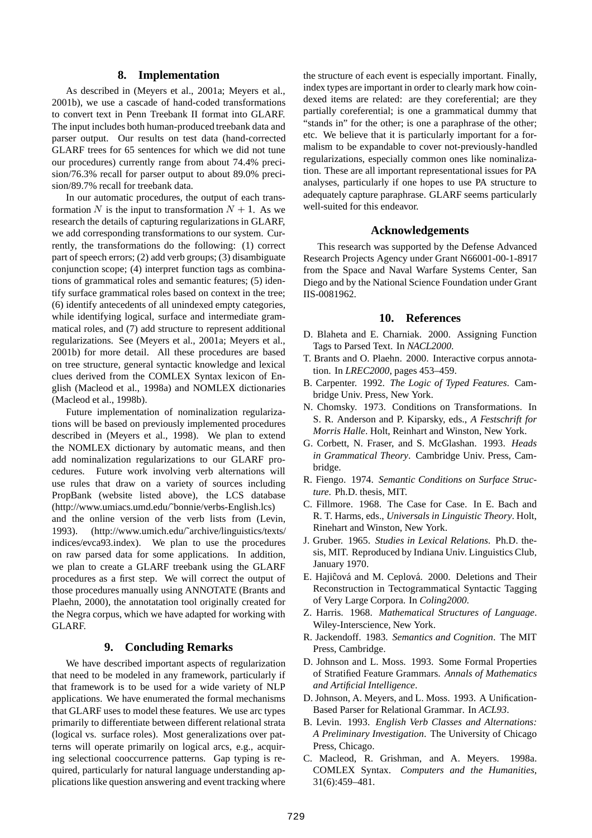## **8. Implementation**

As described in (Meyers et al., 2001a; Meyers et al., 2001b), we use a cascade of hand-coded transformations to convert text in Penn Treebank II format into GLARF. The input includes both human-produced treebank data and parser output. Our results on test data (hand-corrected GLARF trees for 65 sentences for which we did not tune our procedures) currently range from about 74.4% precision/76.3% recall for parser output to about 89.0% precision/89.7% recall for treebank data.

In our automatic procedures, the output of each transformation N is the input to transformation  $N + 1$ . As we research the details of capturing regularizations in GLARF, we add corresponding transformations to our system. Currently, the transformations do the following: (1) correct part of speech errors; (2) add verb groups; (3) disambiguate conjunction scope; (4) interpret function tags as combinations of grammatical roles and semantic features; (5) identify surface grammatical roles based on context in the tree; (6) identify antecedents of all unindexed empty categories, while identifying logical, surface and intermediate grammatical roles, and (7) add structure to represent additional regularizations. See (Meyers et al., 2001a; Meyers et al., 2001b) for more detail. All these procedures are based on tree structure, general syntactic knowledge and lexical clues derived from the COMLEX Syntax lexicon of English (Macleod et al., 1998a) and NOMLEX dictionaries (Macleod et al., 1998b).

Future implementation of nominalization regularizations will be based on previously implemented procedures described in (Meyers et al., 1998). We plan to extend the NOMLEX dictionary by automatic means, and then add nominalization regularizations to our GLARF procedures. Future work involving verb alternations will use rules that draw on a variety of sources including PropBank (website listed above), the LCS database (http://www.umiacs.umd.edu/˜bonnie/verbs-English.lcs) and the online version of the verb lists from (Levin, 1993). (http://www.umich.edu/˜archive/linguistics/texts/ indices/evca93.index). We plan to use the procedures on raw parsed data for some applications. In addition, we plan to create a GLARF treebank using the GLARF procedures as a first step. We will correct the output of those procedures manually using ANNOTATE (Brants and Plaehn, 2000), the annotatation tool originally created for the Negra corpus, which we have adapted for working with GLARF.

## **9. Concluding Remarks**

We have described important aspects of regularization that need to be modeled in any framework, particularly if that framework is to be used for a wide variety of NLP applications. We have enumerated the formal mechanisms that GLARF uses to model these features. We use arc types primarily to differentiate between different relational strata (logical vs. surface roles). Most generalizations over patterns will operate primarily on logical arcs, e.g., acquiring selectional cooccurrence patterns. Gap typing is required, particularly for natural language understanding applications like question answering and event tracking where

the structure of each event is especially important. Finally, index types are important in order to clearly mark how coindexed items are related: are they coreferential; are they partially coreferential; is one a grammatical dummy that "stands in" for the other; is one a paraphrase of the other; etc. We believe that it is particularly important for a formalism to be expandable to cover not-previously-handled regularizations, especially common ones like nominalization. These are all important representational issues for PA analyses, particularly if one hopes to use PA structure to adequately capture paraphrase. GLARF seems particularly well-suited for this endeavor.

### **Acknowledgements**

This research was supported by the Defense Advanced Research Projects Agency under Grant N66001-00-1-8917 from the Space and Naval Warfare Systems Center, San Diego and by the National Science Foundation under Grant IIS-0081962.

#### **10. References**

- D. Blaheta and E. Charniak. 2000. Assigning Function Tags to Parsed Text. In *NACL2000*.
- T. Brants and O. Plaehn. 2000. Interactive corpus annotation. In *LREC2000*, pages 453–459.
- B. Carpenter. 1992. *The Logic of Typed Features*. Cambridge Univ. Press, New York.
- N. Chomsky. 1973. Conditions on Transformations. In S. R. Anderson and P. Kiparsky, eds., *A Festschrift for Morris Halle*. Holt, Reinhart and Winston, New York.
- G. Corbett, N. Fraser, and S. McGlashan. 1993. *Heads in Grammatical Theory*. Cambridge Univ. Press, Cambridge.
- R. Fiengo. 1974. *Semantic Conditions on Surface Structure*. Ph.D. thesis, MIT.
- C. Fillmore. 1968. The Case for Case. In E. Bach and R. T. Harms, eds., *Universals in Linguistic Theory*. Holt, Rinehart and Winston, New York.
- J. Gruber. 1965. *Studies in Lexical Relations*. Ph.D. thesis, MIT. Reproduced by Indiana Univ. Linguistics Club, January 1970.
- E. Hajiĉová and M. Ceplová. 2000. Deletions and Their Reconstruction in Tectogrammatical Syntactic Tagging of Very Large Corpora. In *Coling2000*.
- Z. Harris. 1968. *Mathematical Structures of Language*. Wiley-Interscience, New York.
- R. Jackendoff. 1983. *Semantics and Cognition*. The MIT Press, Cambridge.
- D. Johnson and L. Moss. 1993. Some Formal Properties of Stratified Feature Grammars. *Annals of Mathematics and Artificial Intelligence*.
- D. Johnson, A. Meyers, and L. Moss. 1993. A Unification-Based Parser for Relational Grammar. In *ACL93*.
- B. Levin. 1993. *English Verb Classes and Alternations: A Preliminary Investigation*. The University of Chicago Press, Chicago.
- C. Macleod, R. Grishman, and A. Meyers. 1998a. COMLEX Syntax. *Computers and the Humanities*, 31(6):459–481.